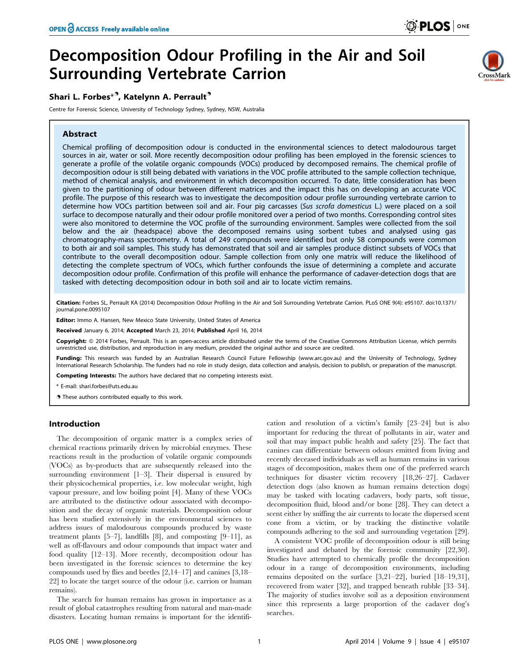# Decomposition Odour Profiling in the Air and Soil Surrounding Vertebrate Carrion

## Shari L. Forbes\*<sup>9</sup>, Katelynn A. Perrault<sup>9</sup>

Centre for Forensic Science, University of Technology Sydney, Sydney, NSW, Australia

#### Abstract



Chemical profiling of decomposition odour is conducted in the environmental sciences to detect malodourous target sources in air, water or soil. More recently decomposition odour profiling has been employed in the forensic sciences to generate a profile of the volatile organic compounds (VOCs) produced by decomposed remains. The chemical profile of decomposition odour is still being debated with variations in the VOC profile attributed to the sample collection technique, method of chemical analysis, and environment in which decomposition occurred. To date, little consideration has been given to the partitioning of odour between different matrices and the impact this has on developing an accurate VOC profile. The purpose of this research was to investigate the decomposition odour profile surrounding vertebrate carrion to determine how VOCs partition between soil and air. Four pig carcasses (Sus scrofa domesticus L.) were placed on a soil surface to decompose naturally and their odour profile monitored over a period of two months. Corresponding control sites were also monitored to determine the VOC profile of the surrounding environment. Samples were collected from the soil below and the air (headspace) above the decomposed remains using sorbent tubes and analysed using gas chromatography-mass spectrometry. A total of 249 compounds were identified but only 58 compounds were common to both air and soil samples. This study has demonstrated that soil and air samples produce distinct subsets of VOCs that contribute to the overall decomposition odour. Sample collection from only one matrix will reduce the likelihood of detecting the complete spectrum of VOCs, which further confounds the issue of determining a complete and accurate decomposition odour profile. Confirmation of this profile will enhance the performance of cadaver-detection dogs that are tasked with detecting decomposition odour in both soil and air to locate victim remains.

Citation: Forbes SL, Perrault KA (2014) Decomposition Odour Profiling in the Air and Soil Surrounding Vertebrate Carrion. PLoS ONE 9(4): e95107. doi:10.1371/ journal.pone.0095107

Editor: Immo A. Hansen, New Mexico State University, United States of America

Received January 6, 2014; Accepted March 23, 2014; Published April 16, 2014

Copyright: © 2014 Forbes, Perrault. This is an open-access article distributed under the terms of the [Creative Commons Attribution License](http://creativecommons.org/licenses/by/4.0/), which permits estricted use, distribution, and reproduction in any medium, provided the original author and source are credited.

Funding: This research was funded by an Australian Research Council Future Fellowship (www.arc.gov.au) and the University of Technology, Sydney International Research Scholarship. The funders had no role in study design, data collection and analysis, decision to publish, or preparation of the manuscript.

Competing Interests: The authors have declared that no competing interests exist.

\* E-mail: shari.forbes@uts.edu.au

**.** These authors contributed equally to this work.

#### Introduction

The decomposition of organic matter is a complex series of chemical reactions primarily driven by microbial enzymes. These reactions result in the production of volatile organic compounds (VOCs) as by-products that are subsequently released into the surrounding environment [1–3]. Their dispersal is ensured by their physicochemical properties, i.e. low molecular weight, high vapour pressure, and low boiling point [4]. Many of these VOCs are attributed to the distinctive odour associated with decomposition and the decay of organic materials. Decomposition odour has been studied extensively in the environmental sciences to address issues of malodourous compounds produced by waste treatment plants  $[5-7]$ , landfills  $[8]$ , and composting  $[9-11]$ , as well as off-flavours and odour compounds that impact water and food quality [12–13]. More recently, decomposition odour has been investigated in the forensic sciences to determine the key compounds used by flies and beetles [2,14–17] and canines [3,18– 22] to locate the target source of the odour (i.e. carrion or human remains).

The search for human remains has grown in importance as a result of global catastrophes resulting from natural and man-made disasters. Locating human remains is important for the identification and resolution of a victim's family [23–24] but is also important for reducing the threat of pollutants in air, water and soil that may impact public health and safety [25]. The fact that canines can differentiate between odours emitted from living and recently deceased individuals as well as human remains in various stages of decomposition, makes them one of the preferred search techniques for disaster victim recovery [18,26–27]. Cadaver detection dogs (also known as human remains detection dogs) may be tasked with locating cadavers, body parts, soft tissue, decomposition fluid, blood and/or bone [28]. They can detect a scent either by sniffing the air currents to locate the dispersed scent cone from a victim, or by tracking the distinctive volatile compounds adhering to the soil and surrounding vegetation [29].

A consistent VOC profile of decomposition odour is still being investigated and debated by the forensic community [22,30]. Studies have attempted to chemically profile the decomposition odour in a range of decomposition environments, including remains deposited on the surface [3,21–22], buried [18–19,31], recovered from water [32], and trapped beneath rubble [33–34]. The majority of studies involve soil as a deposition environment since this represents a large proportion of the cadaver dog's searches.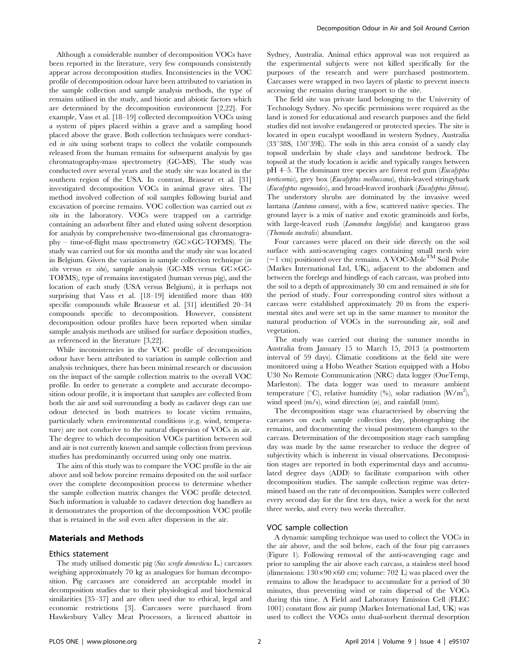Although a considerable number of decomposition VOCs have been reported in the literature, very few compounds consistently appear across decomposition studies. Inconsistencies in the VOC profile of decomposition odour have been attributed to variation in the sample collection and sample analysis methods, the type of remains utilised in the study, and biotic and abiotic factors which are determined by the decomposition environment [2,22]. For example, Vass et al. [18–19] collected decomposition VOCs using a system of pipes placed within a grave and a sampling hood placed above the grave. Both collection techniques were conducted in situ using sorbent traps to collect the volatile compounds released from the human remains for subsequent analysis by gas chromatography-mass spectrometry (GC-MS). The study was conducted over several years and the study site was located in the southern region of the USA. In contrast, Brasseur et al. [31] investigated decomposition VOCs in animal grave sites. The method involved collection of soil samples following burial and excavation of porcine remains. VOC collection was carried out ex situ in the laboratory. VOCs were trapped on a cartridge containing an adsorbent filter and eluted using solvent desorption for analysis by comprehensive two-dimensional gas chromatogra $phy$  – time-of-flight mass spectrometry ( $GC \times GC$ -TOFMS). The study was carried out for six months and the study site was located in Belgium. Given the variation in sample collection technique (in situ versus ex situ), sample analysis (GC-MS versus  $GC \times GC$ -TOFMS), type of remains investigated (human versus pig), and the location of each study (USA versus Belgium), it is perhaps not surprising that Vass et al. [18–19] identified more than 400 specific compounds while Brasseur et al. [31] identified 20–34 compounds specific to decomposition. However, consistent decomposition odour profiles have been reported when similar sample analysis methods are utilised for surface deposition studies, as referenced in the literature [3,22].

While inconsistencies in the VOC profile of decomposition odour have been attributed to variation in sample collection and analysis techniques, there has been minimal research or discussion on the impact of the sample collection matrix to the overall VOC profile. In order to generate a complete and accurate decomposition odour profile, it is important that samples are collected from both the air and soil surrounding a body as cadaver dogs can use odour detected in both matrices to locate victim remains, particularly when environmental conditions (e.g. wind, temperature) are not conducive to the natural dispersion of VOCs in air. The degree to which decomposition VOCs partition between soil and air is not currently known and sample collection from previous studies has predominantly occurred using only one matrix.

The aim of this study was to compare the VOC profile in the air above and soil below porcine remains deposited on the soil surface over the complete decomposition process to determine whether the sample collection matrix changes the VOC profile detected. Such information is valuable to cadaver detection dog handlers as it demonstrates the proportion of the decomposition VOC profile that is retained in the soil even after dispersion in the air.

#### Materials and Methods

#### Ethics statement

The study utilised domestic pig (Sus scrofa domesticus L.) carcasses weighing approximately 70 kg as analogues for human decomposition. Pig carcasses are considered an acceptable model in decomposition studies due to their physiological and biochemical similarities [35–37] and are often used due to ethical, legal and economic restrictions [3]. Carcasses were purchased from Hawkesbury Valley Meat Processors, a licenced abattoir in Sydney, Australia. Animal ethics approval was not required as the experimental subjects were not killed specifically for the purposes of the research and were purchased postmortem. Carcasses were wrapped in two layers of plastic to prevent insects accessing the remains during transport to the site.

The field site was private land belonging to the University of Technology Sydney. No specific permissions were required as the land is zoned for educational and research purposes and the field studies did not involve endangered or protected species. The site is located in open eucalypt woodland in western Sydney, Australia ( $33^{\circ}38S$ ,  $150^{\circ}39E$ ). The soils in this area consist of a sandy clay topsoil underlain by shale clays and sandstone bedrock. The topsoil at the study location is acidic and typically ranges between pH 4–5. The dominant tree species are forest red gum (Eucalyptus tereticornis), grey box (Eucalyptus molluccana), thin-leaved stringybark (Eucalyptus eugenoides), and broad-leaved ironbark (Eucalyptus fibrosa). The understory shrubs are dominated by the invasive weed lantana (Lantana camara), with a few, scattered native species. The ground layer is a mix of native and exotic graminoids and forbs, with large-leaved rush (*Lomandra longifolia*) and kangaroo grass (Themeda australis) abundant.

Four carcasses were placed on their side directly on the soil surface with anti-scavenging cages containing small mesh wire  $(\sim)$  cm) positioned over the remains. A VOC-Mole<sup>TM</sup> Soil Probe (Markes International Ltd, UK), adjacent to the abdomen and between the forelegs and hindlegs of each carcass, was probed into the soil to a depth of approximately 30 cm and remained in situ for the period of study. Four corresponding control sites without a carcass were established approximately 20 m from the experimental sites and were set up in the same manner to monitor the natural production of VOCs in the surrounding air, soil and vegetation.

The study was carried out during the summer months in Australia from January 15 to March 15, 2013 (a postmortem interval of 59 days). Climatic conditions at the field site were monitored using a Hobo Weather Station equipped with a Hobo U30 No Remote Communication (NRC) data logger (OneTemp, Marleston). The data logger was used to measure ambient temperature (°C), relative humidity (%), solar radiation (W/m<sup>2</sup>), wind speed (m/s), wind direction (ø), and rainfall (mm).

The decomposition stage was characterised by observing the carcasses on each sample collection day, photographing the remains, and documenting the visual postmortem changes to the carcass. Determination of the decomposition stage each sampling day was made by the same researcher to reduce the degree of subjectivity which is inherent in visual observations. Decomposition stages are reported in both experimental days and accumulated degree days (ADD) to facilitate comparison with other decomposition studies. The sample collection regime was determined based on the rate of decomposition. Samples were collected every second day for the first ten days, twice a week for the next three weeks, and every two weeks thereafter.

#### VOC sample collection

A dynamic sampling technique was used to collect the VOCs in the air above, and the soil below, each of the four pig carcasses (Figure 1). Following removal of the anti-scavenging cage and prior to sampling the air above each carcass, a stainless steel hood (dimensions:  $130\times90\times60$  cm; volume: 702 L) was placed over the remains to allow the headspace to accumulate for a period of 30 minutes, thus preventing wind or rain dispersal of the VOCs during this time. A Field and Laboratory Emission Cell (FLEC 1001) constant flow air pump (Markes International Ltd, UK) was used to collect the VOCs onto dual-sorbent thermal desorption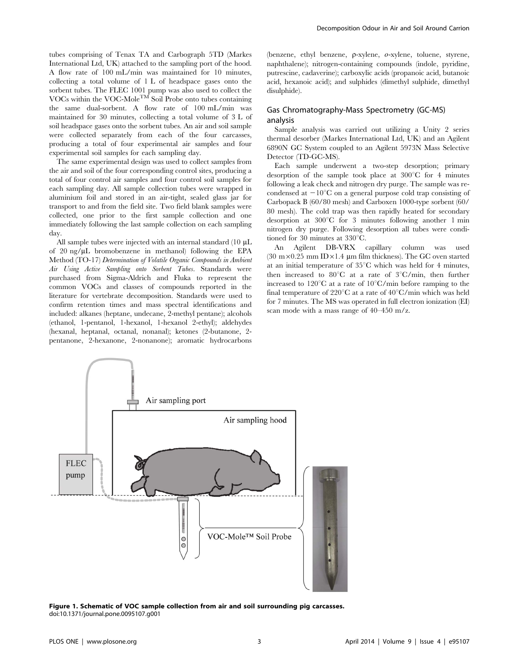tubes comprising of Tenax TA and Carbograph 5TD (Markes International Ltd, UK) attached to the sampling port of the hood. A flow rate of 100 mL/min was maintained for 10 minutes, collecting a total volume of 1 L of headspace gases onto the sorbent tubes. The FLEC 1001 pump was also used to collect the VOCs within the VOC-Mole<sup>TM</sup> Soil Probe onto tubes containing the same dual-sorbent. A flow rate of 100 mL/min was maintained for 30 minutes, collecting a total volume of 3 L of soil headspace gases onto the sorbent tubes. An air and soil sample were collected separately from each of the four carcasses, producing a total of four experimental air samples and four experimental soil samples for each sampling day.

The same experimental design was used to collect samples from the air and soil of the four corresponding control sites, producing a total of four control air samples and four control soil samples for each sampling day. All sample collection tubes were wrapped in aluminium foil and stored in an air-tight, sealed glass jar for transport to and from the field site. Two field blank samples were collected, one prior to the first sample collection and one immediately following the last sample collection on each sampling day.

All sample tubes were injected with an internal standard  $(10 \mu L)$ of 20 ng/ $\mu$ L bromobenzene in methanol) following the EPA Method (TO-17) Determination of Volatile Organic Compounds in Ambient Air Using Active Sampling onto Sorbent Tubes. Standards were purchased from Sigma-Aldrich and Fluka to represent the common VOCs and classes of compounds reported in the literature for vertebrate decomposition. Standards were used to confirm retention times and mass spectral identifications and included: alkanes (heptane, undecane, 2-methyl pentane); alcohols (ethanol, 1-pentanol, 1-hexanol, 1-hexanol 2-ethyl); aldehydes (hexanal, heptanal, octanal, nonanal); ketones (2-butanone, 2 pentanone, 2-hexanone, 2-nonanone); aromatic hydrocarbons

(benzene, ethyl benzene,  $\rho$ -xylene,  $\sigma$ -xylene, toluene, styrene, naphthalene); nitrogen-containing compounds (indole, pyridine, putrescine, cadaverine); carboxylic acids (propanoic acid, butanoic acid, hexanoic acid); and sulphides (dimethyl sulphide, dimethyl disulphide).

## Gas Chromatography-Mass Spectrometry (GC-MS) analysis

Sample analysis was carried out utilizing a Unity 2 series thermal desorber (Markes International Ltd, UK) and an Agilent 6890N GC System coupled to an Agilent 5973N Mass Selective Detector (TD-GC-MS).

Each sample underwent a two-step desorption; primary desorption of the sample took place at  $300^{\circ}$ C for 4 minutes following a leak check and nitrogen dry purge. The sample was recondensed at  $-10^{\circ}$ C on a general purpose cold trap consisting of Carbopack B (60/80 mesh) and Carboxen 1000-type sorbent (60/ 80 mesh). The cold trap was then rapidly heated for secondary desorption at  $300^{\circ}$ C for 3 minutes following another 1 min nitrogen dry purge. Following desorption all tubes were conditioned for 30 minutes at  $330^{\circ}$ C.

An Agilent DB-VRX capillary column was used (30 m $\times$ 0.25 mm ID $\times$ 1.4 µm film thickness). The GC oven started at an initial temperature of  $35^{\circ}$ C which was held for 4 minutes, then increased to  $80^{\circ}$ C at a rate of  $3^{\circ}$ C/min, then further increased to  $120^{\circ}$ C at a rate of  $10^{\circ}$ C/min before ramping to the final temperature of 220 $\mathrm{C}$  at a rate of 40 $\mathrm{C}$ /min which was held for 7 minutes. The MS was operated in full electron ionization (EI) scan mode with a mass range of 40–450 m/z.



Figure 1. Schematic of VOC sample collection from air and soil surrounding pig carcasses. doi:10.1371/journal.pone.0095107.g001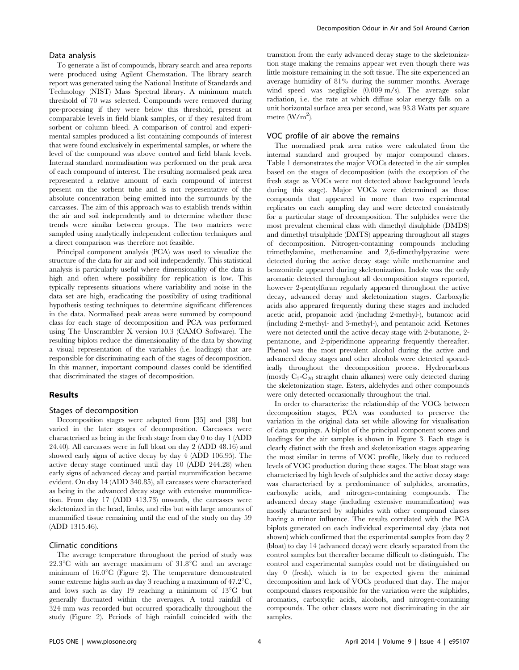#### Data analysis

To generate a list of compounds, library search and area reports were produced using Agilent Chemstation. The library search report was generated using the National Institute of Standards and Technology (NIST) Mass Spectral library. A minimum match threshold of 70 was selected. Compounds were removed during pre-processing if they were below this threshold, present at comparable levels in field blank samples, or if they resulted from sorbent or column bleed. A comparison of control and experimental samples produced a list containing compounds of interest that were found exclusively in experimental samples, or where the level of the compound was above control and field blank levels. Internal standard normalisation was performed on the peak area of each compound of interest. The resulting normalised peak area represented a relative amount of each compound of interest present on the sorbent tube and is not representative of the absolute concentration being emitted into the surrounds by the carcasses. The aim of this approach was to establish trends within the air and soil independently and to determine whether these trends were similar between groups. The two matrices were sampled using analytically independent collection techniques and a direct comparison was therefore not feasible.

Principal component analysis (PCA) was used to visualize the structure of the data for air and soil independently. This statistical analysis is particularly useful where dimensionality of the data is high and often where possibility for replication is low. This typically represents situations where variability and noise in the data set are high, eradicating the possibility of using traditional hypothesis testing techniques to determine significant differences in the data. Normalised peak areas were summed by compound class for each stage of decomposition and PCA was performed using The Unscrambler X version 10.3 (CAMO Software). The resulting biplots reduce the dimensionality of the data by showing a visual representation of the variables (i.e. loadings) that are responsible for discriminating each of the stages of decomposition. In this manner, important compound classes could be identified that discriminated the stages of decomposition.

#### Results

#### Stages of decomposition

Decomposition stages were adapted from [35] and [38] but varied in the later stages of decomposition. Carcasses were characterised as being in the fresh stage from day 0 to day 1 (ADD 24.40). All carcasses were in full bloat on day 2 (ADD 48.16) and showed early signs of active decay by day 4 (ADD 106.95). The active decay stage continued until day 10 (ADD 244.28) when early signs of advanced decay and partial mummification became evident. On day 14 (ADD 340.85), all carcasses were characterised as being in the advanced decay stage with extensive mummification. From day 17 (ADD 413.73) onwards, the carcasses were skeletonized in the head, limbs, and ribs but with large amounts of mummified tissue remaining until the end of the study on day 59 (ADD 1315.46).

#### Climatic conditions

The average temperature throughout the period of study was  $22.3^{\circ}C$  with an average maximum of  $31.8^{\circ}C$  and an average minimum of  $16.0^{\circ}$ C (Figure 2). The temperature demonstrated some extreme highs such as day 3 reaching a maximum of  $47.2^{\circ}C$ , and lows such as day 19 reaching a minimum of  $13^{\circ}$ C but generally fluctuated within the averages. A total rainfall of 324 mm was recorded but occurred sporadically throughout the study (Figure 2). Periods of high rainfall coincided with the

transition from the early advanced decay stage to the skeletonization stage making the remains appear wet even though there was little moisture remaining in the soft tissue. The site experienced an average humidity of 81% during the summer months. Average wind speed was negligible (0.009 m/s). The average solar radiation, i.e. the rate at which diffuse solar energy falls on a unit horizontal surface area per second, was 93.8 Watts per square metre  $(W/m^2)$ .

#### VOC profile of air above the remains

The normalised peak area ratios were calculated from the internal standard and grouped by major compound classes. Table 1 demonstrates the major VOCs detected in the air samples based on the stages of decomposition (with the exception of the fresh stage as VOCs were not detected above background levels during this stage). Major VOCs were determined as those compounds that appeared in more than two experimental replicates on each sampling day and were detected consistently for a particular stage of decomposition. The sulphides were the most prevalent chemical class with dimethyl disulphide (DMDS) and dimethyl trisulphide (DMTS) appearing throughout all stages of decomposition. Nitrogen-containing compounds including trimethylamine, methenamine and 2,6-dimethylpyrazine were detected during the active decay stage while methenamine and benzonitrile appeared during skeletonization. Indole was the only aromatic detected throughout all decomposition stages reported, however 2-pentylfuran regularly appeared throughout the active decay, advanced decay and skeletonization stages. Carboxylic acids also appeared frequently during these stages and included acetic acid, propanoic acid (including 2-methyl-), butanoic acid (including 2-methyl- and 3-methyl-), and pentanoic acid. Ketones were not detected until the active decay stage with 2-butanone, 2 pentanone, and 2-piperidinone appearing frequently thereafter. Phenol was the most prevalent alcohol during the active and advanced decay stages and other alcohols were detected sporadically throughout the decomposition process. Hydrocarbons (mostly  $C_5-C_{20}$  straight chain alkanes) were only detected during the skeletonization stage. Esters, aldehydes and other compounds were only detected occasionally throughout the trial.

In order to characterize the relationship of the VOCs between decomposition stages, PCA was conducted to preserve the variation in the original data set while allowing for visualisation of data groupings. A biplot of the principal component scores and loadings for the air samples is shown in Figure 3. Each stage is clearly distinct with the fresh and skeletonization stages appearing the most similar in terms of VOC profile, likely due to reduced levels of VOC production during these stages. The bloat stage was characterised by high levels of sulphides and the active decay stage was characterised by a predominance of sulphides, aromatics, carboxylic acids, and nitrogen-containing compounds. The advanced decay stage (including extensive mummification) was mostly characterised by sulphides with other compound classes having a minor influence. The results correlated with the PCA biplots generated on each individual experimental day (data not shown) which confirmed that the experimental samples from day 2 (bloat) to day 14 (advanced decay) were clearly separated from the control samples but thereafter became difficult to distinguish. The control and experimental samples could not be distinguished on day 0 (fresh), which is to be expected given the minimal decomposition and lack of VOCs produced that day. The major compound classes responsible for the variation were the sulphides, aromatics, carboxylic acids, alcohols, and nitrogen-containing compounds. The other classes were not discriminating in the air samples.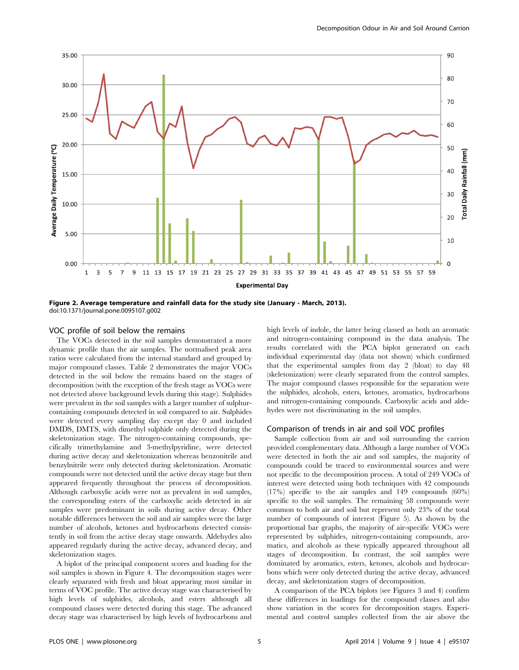

Figure 2. Average temperature and rainfall data for the study site (January - March, 2013). doi:10.1371/journal.pone.0095107.g002

#### VOC profile of soil below the remains

The VOCs detected in the soil samples demonstrated a more dynamic profile than the air samples. The normalised peak area ratios were calculated from the internal standard and grouped by major compound classes. Table 2 demonstrates the major VOCs detected in the soil below the remains based on the stages of decomposition (with the exception of the fresh stage as VOCs were not detected above background levels during this stage). Sulphides were prevalent in the soil samples with a larger number of sulphurcontaining compounds detected in soil compared to air. Sulphides were detected every sampling day except day 0 and included DMDS, DMTS, with dimethyl sulphide only detected during the skeletonization stage. The nitrogen-containing compounds, specifically trimethylamine and 3-methylpyridine, were detected during active decay and skeletonization whereas benzonitrile and benzylnitrile were only detected during skeletonization. Aromatic compounds were not detected until the active decay stage but then appeared frequently throughout the process of decomposition. Although carboxylic acids were not as prevalent in soil samples, the corresponding esters of the carboxylic acids detected in air samples were predominant in soils during active decay. Other notable differences between the soil and air samples were the large number of alcohols, ketones and hydrocarbons detected consistently in soil from the active decay stage onwards. Aldehydes also appeared regularly during the active decay, advanced decay, and skeletonization stages.

A biplot of the principal component scores and loading for the soil samples is shown in Figure 4. The decomposition stages were clearly separated with fresh and bloat appearing most similar in terms of VOC profile. The active decay stage was characterised by high levels of sulphides, alcohols, and esters although all compound classes were detected during this stage. The advanced decay stage was characterised by high levels of hydrocarbons and high levels of indole, the latter being classed as both an aromatic and nitrogen-containing compound in the data analysis. The results correlated with the PCA biplot generated on each individual experimental day (data not shown) which confirmed that the experimental samples from day 2 (bloat) to day 48 (skeletonization) were clearly separated from the control samples. The major compound classes responsible for the separation were the sulphides, alcohols, esters, ketones, aromatics, hydrocarbons and nitrogen-containing compounds. Carboxylic acids and aldehydes were not discriminating in the soil samples.

#### Comparison of trends in air and soil VOC profiles

Sample collection from air and soil surrounding the carrion provided complementary data. Although a large number of VOCs were detected in both the air and soil samples, the majority of compounds could be traced to environmental sources and were not specific to the decomposition process. A total of 249 VOCs of interest were detected using both techniques with 42 compounds (17%) specific to the air samples and 149 compounds (60%) specific to the soil samples. The remaining 58 compounds were common to both air and soil but represent only 23% of the total number of compounds of interest (Figure 5). As shown by the proportional bar graphs, the majority of air-specific VOCs were represented by sulphides, nitrogen-containing compounds, aromatics, and alcohols as these typically appeared throughout all stages of decomposition. In contrast, the soil samples were dominated by aromatics, esters, ketones, alcohols and hydrocarbons which were only detected during the active decay, advanced decay, and skeletonization stages of decomposition.

A comparison of the PCA biplots (see Figures 3 and 4) confirm these differences in loadings for the compound classes and also show variation in the scores for decomposition stages. Experimental and control samples collected from the air above the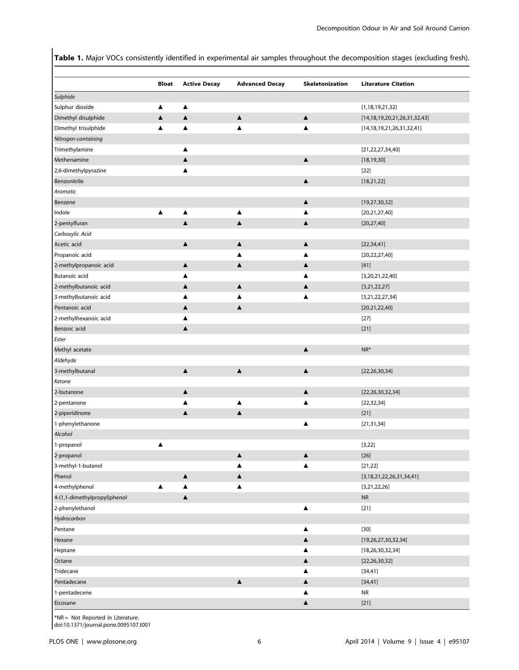Table 1. Major VOCs consistently identified in experimental air samples throughout the decomposition stages (excluding fresh).

| Sulphide<br>Sulphur dioxide<br>▲<br>▲<br>[1, 18, 19, 21, 32]<br>$\blacktriangle$<br>$\blacktriangle$<br>$\blacktriangle$<br>Dimethyl disulphide<br>$\blacktriangle$<br>[14, 18, 19, 20, 21, 26, 31, 32, 43]<br>Dimethyl trisulphide<br>▲<br>[14, 18, 19, 21, 26, 31, 32, 41]<br>▲<br>▲<br>Nitrogen-containing<br>Trimethylamine<br>[21, 22, 27, 34, 40]<br>▲<br>$\blacktriangle$<br>Methenamine<br>[18, 19, 30]<br>▲<br>2,6-dimethylpyrazine<br>$[22]$<br>▲<br>$\blacktriangle$<br>Benzonitrile<br>[18, 21, 22]<br>Aromatic<br>Benzene<br>▲<br>[19, 27, 30, 32]<br>Indole<br>▲<br>▲<br>▲<br>▲<br>[20, 21, 27, 40]<br>$\blacktriangle$<br>2-pentylfuran<br>▲<br>▲<br>[20, 27, 40]<br>Carboxylic Acid<br>Acetic acid<br>▲<br>$\blacktriangle$<br>▲<br>[22, 34, 41]<br>Propanoic acid<br>▲<br>[20, 22, 27, 40]<br>▲<br>2-methylpropanoic acid<br>▲<br>▲<br>▲<br>$[41]$<br>Butanoic acid<br>[3,20,21,22,40]<br>▲<br>2-methylbutanoic acid<br>$\blacktriangle$<br>[3, 21, 22, 27]<br>▲<br>▲<br>3-methylbutanoic acid<br>[3,21,22,27,34]<br>▲<br>▲<br>Pentanoic acid<br>[20, 21, 22, 40]<br>▲<br>▲<br>2-methylhexanoic acid<br>$[27]$<br>▲<br>Benzoic acid<br>▲<br>$[21]$<br>Ester<br>$\blacktriangle$<br>$NR^*$<br>Methyl acetate<br>Aldehyde<br>$\blacktriangle$<br>$\blacktriangle$<br>$\blacktriangle$<br>3-methylbutanal<br>[22, 26, 30, 34]<br>Ketone<br>▲<br>▲<br>[22, 26, 30, 32, 34]<br>2-butanone<br>[22, 32, 34]<br>2-pentanone<br>▲<br>▲<br>$\blacktriangle$<br>$[21]$<br>2-piperidinone<br>▲<br>1-phenylethanone<br>▲<br>[21, 31, 34]<br>Alcohol<br>1-propanol<br>[3, 22]<br>▲<br>$[26]$<br>▲<br>▲<br>3-methyl-1-butanol<br>[21, 22]<br>▲<br>▲<br>Phenol<br>$\blacktriangle$<br>$\blacktriangle$<br>[3,18,21,22,26,31,34,41]<br>4-methylphenol<br>▲<br>▲<br>▲<br>[3,21,22,26]<br>4-(1,1-dimethylpropyl)phenol<br>$\blacktriangle$<br>${\sf NR}$<br>2-phenylethanol<br>▲<br>$[21]$<br>Hydrocarbon<br>$[30]$<br>Pentane<br>▲<br>$\blacktriangle$<br>Hexane<br>[19,26,27,30,32,34]<br>Heptane<br>▲<br>[18, 26, 30, 32, 34]<br>$\blacktriangle$<br>Octane<br>[22, 26, 30, 32]<br>Tridecane<br>▲<br>[34, 41]<br>Pentadecane<br>$\blacktriangle$<br>$\blacktriangle$<br>[34, 41] | <b>Bloat</b> | <b>Active Decay</b> | <b>Advanced Decay</b> | Skeletonization | <b>Literature Citation</b> |
|-----------------------------------------------------------------------------------------------------------------------------------------------------------------------------------------------------------------------------------------------------------------------------------------------------------------------------------------------------------------------------------------------------------------------------------------------------------------------------------------------------------------------------------------------------------------------------------------------------------------------------------------------------------------------------------------------------------------------------------------------------------------------------------------------------------------------------------------------------------------------------------------------------------------------------------------------------------------------------------------------------------------------------------------------------------------------------------------------------------------------------------------------------------------------------------------------------------------------------------------------------------------------------------------------------------------------------------------------------------------------------------------------------------------------------------------------------------------------------------------------------------------------------------------------------------------------------------------------------------------------------------------------------------------------------------------------------------------------------------------------------------------------------------------------------------------------------------------------------------------------------------------------------------------------------------------------------------------------------------------------------------------------------------------------------------------------------------------------------------------------------------------------------------------------------------|--------------|---------------------|-----------------------|-----------------|----------------------------|
|                                                                                                                                                                                                                                                                                                                                                                                                                                                                                                                                                                                                                                                                                                                                                                                                                                                                                                                                                                                                                                                                                                                                                                                                                                                                                                                                                                                                                                                                                                                                                                                                                                                                                                                                                                                                                                                                                                                                                                                                                                                                                                                                                                                   |              |                     |                       |                 |                            |
|                                                                                                                                                                                                                                                                                                                                                                                                                                                                                                                                                                                                                                                                                                                                                                                                                                                                                                                                                                                                                                                                                                                                                                                                                                                                                                                                                                                                                                                                                                                                                                                                                                                                                                                                                                                                                                                                                                                                                                                                                                                                                                                                                                                   |              |                     |                       |                 |                            |
|                                                                                                                                                                                                                                                                                                                                                                                                                                                                                                                                                                                                                                                                                                                                                                                                                                                                                                                                                                                                                                                                                                                                                                                                                                                                                                                                                                                                                                                                                                                                                                                                                                                                                                                                                                                                                                                                                                                                                                                                                                                                                                                                                                                   |              |                     |                       |                 |                            |
|                                                                                                                                                                                                                                                                                                                                                                                                                                                                                                                                                                                                                                                                                                                                                                                                                                                                                                                                                                                                                                                                                                                                                                                                                                                                                                                                                                                                                                                                                                                                                                                                                                                                                                                                                                                                                                                                                                                                                                                                                                                                                                                                                                                   |              |                     |                       |                 |                            |
|                                                                                                                                                                                                                                                                                                                                                                                                                                                                                                                                                                                                                                                                                                                                                                                                                                                                                                                                                                                                                                                                                                                                                                                                                                                                                                                                                                                                                                                                                                                                                                                                                                                                                                                                                                                                                                                                                                                                                                                                                                                                                                                                                                                   |              |                     |                       |                 |                            |
|                                                                                                                                                                                                                                                                                                                                                                                                                                                                                                                                                                                                                                                                                                                                                                                                                                                                                                                                                                                                                                                                                                                                                                                                                                                                                                                                                                                                                                                                                                                                                                                                                                                                                                                                                                                                                                                                                                                                                                                                                                                                                                                                                                                   |              |                     |                       |                 |                            |
|                                                                                                                                                                                                                                                                                                                                                                                                                                                                                                                                                                                                                                                                                                                                                                                                                                                                                                                                                                                                                                                                                                                                                                                                                                                                                                                                                                                                                                                                                                                                                                                                                                                                                                                                                                                                                                                                                                                                                                                                                                                                                                                                                                                   |              |                     |                       |                 |                            |
|                                                                                                                                                                                                                                                                                                                                                                                                                                                                                                                                                                                                                                                                                                                                                                                                                                                                                                                                                                                                                                                                                                                                                                                                                                                                                                                                                                                                                                                                                                                                                                                                                                                                                                                                                                                                                                                                                                                                                                                                                                                                                                                                                                                   |              |                     |                       |                 |                            |
|                                                                                                                                                                                                                                                                                                                                                                                                                                                                                                                                                                                                                                                                                                                                                                                                                                                                                                                                                                                                                                                                                                                                                                                                                                                                                                                                                                                                                                                                                                                                                                                                                                                                                                                                                                                                                                                                                                                                                                                                                                                                                                                                                                                   |              |                     |                       |                 |                            |
|                                                                                                                                                                                                                                                                                                                                                                                                                                                                                                                                                                                                                                                                                                                                                                                                                                                                                                                                                                                                                                                                                                                                                                                                                                                                                                                                                                                                                                                                                                                                                                                                                                                                                                                                                                                                                                                                                                                                                                                                                                                                                                                                                                                   |              |                     |                       |                 |                            |
|                                                                                                                                                                                                                                                                                                                                                                                                                                                                                                                                                                                                                                                                                                                                                                                                                                                                                                                                                                                                                                                                                                                                                                                                                                                                                                                                                                                                                                                                                                                                                                                                                                                                                                                                                                                                                                                                                                                                                                                                                                                                                                                                                                                   |              |                     |                       |                 |                            |
|                                                                                                                                                                                                                                                                                                                                                                                                                                                                                                                                                                                                                                                                                                                                                                                                                                                                                                                                                                                                                                                                                                                                                                                                                                                                                                                                                                                                                                                                                                                                                                                                                                                                                                                                                                                                                                                                                                                                                                                                                                                                                                                                                                                   |              |                     |                       |                 |                            |
| 2-propanol                                                                                                                                                                                                                                                                                                                                                                                                                                                                                                                                                                                                                                                                                                                                                                                                                                                                                                                                                                                                                                                                                                                                                                                                                                                                                                                                                                                                                                                                                                                                                                                                                                                                                                                                                                                                                                                                                                                                                                                                                                                                                                                                                                        |              |                     |                       |                 |                            |
|                                                                                                                                                                                                                                                                                                                                                                                                                                                                                                                                                                                                                                                                                                                                                                                                                                                                                                                                                                                                                                                                                                                                                                                                                                                                                                                                                                                                                                                                                                                                                                                                                                                                                                                                                                                                                                                                                                                                                                                                                                                                                                                                                                                   |              |                     |                       |                 |                            |
|                                                                                                                                                                                                                                                                                                                                                                                                                                                                                                                                                                                                                                                                                                                                                                                                                                                                                                                                                                                                                                                                                                                                                                                                                                                                                                                                                                                                                                                                                                                                                                                                                                                                                                                                                                                                                                                                                                                                                                                                                                                                                                                                                                                   |              |                     |                       |                 |                            |
|                                                                                                                                                                                                                                                                                                                                                                                                                                                                                                                                                                                                                                                                                                                                                                                                                                                                                                                                                                                                                                                                                                                                                                                                                                                                                                                                                                                                                                                                                                                                                                                                                                                                                                                                                                                                                                                                                                                                                                                                                                                                                                                                                                                   |              |                     |                       |                 |                            |
|                                                                                                                                                                                                                                                                                                                                                                                                                                                                                                                                                                                                                                                                                                                                                                                                                                                                                                                                                                                                                                                                                                                                                                                                                                                                                                                                                                                                                                                                                                                                                                                                                                                                                                                                                                                                                                                                                                                                                                                                                                                                                                                                                                                   |              |                     |                       |                 |                            |
|                                                                                                                                                                                                                                                                                                                                                                                                                                                                                                                                                                                                                                                                                                                                                                                                                                                                                                                                                                                                                                                                                                                                                                                                                                                                                                                                                                                                                                                                                                                                                                                                                                                                                                                                                                                                                                                                                                                                                                                                                                                                                                                                                                                   |              |                     |                       |                 |                            |
|                                                                                                                                                                                                                                                                                                                                                                                                                                                                                                                                                                                                                                                                                                                                                                                                                                                                                                                                                                                                                                                                                                                                                                                                                                                                                                                                                                                                                                                                                                                                                                                                                                                                                                                                                                                                                                                                                                                                                                                                                                                                                                                                                                                   |              |                     |                       |                 |                            |
|                                                                                                                                                                                                                                                                                                                                                                                                                                                                                                                                                                                                                                                                                                                                                                                                                                                                                                                                                                                                                                                                                                                                                                                                                                                                                                                                                                                                                                                                                                                                                                                                                                                                                                                                                                                                                                                                                                                                                                                                                                                                                                                                                                                   |              |                     |                       |                 |                            |
|                                                                                                                                                                                                                                                                                                                                                                                                                                                                                                                                                                                                                                                                                                                                                                                                                                                                                                                                                                                                                                                                                                                                                                                                                                                                                                                                                                                                                                                                                                                                                                                                                                                                                                                                                                                                                                                                                                                                                                                                                                                                                                                                                                                   |              |                     |                       |                 |                            |
|                                                                                                                                                                                                                                                                                                                                                                                                                                                                                                                                                                                                                                                                                                                                                                                                                                                                                                                                                                                                                                                                                                                                                                                                                                                                                                                                                                                                                                                                                                                                                                                                                                                                                                                                                                                                                                                                                                                                                                                                                                                                                                                                                                                   |              |                     |                       |                 |                            |
|                                                                                                                                                                                                                                                                                                                                                                                                                                                                                                                                                                                                                                                                                                                                                                                                                                                                                                                                                                                                                                                                                                                                                                                                                                                                                                                                                                                                                                                                                                                                                                                                                                                                                                                                                                                                                                                                                                                                                                                                                                                                                                                                                                                   |              |                     |                       |                 |                            |
|                                                                                                                                                                                                                                                                                                                                                                                                                                                                                                                                                                                                                                                                                                                                                                                                                                                                                                                                                                                                                                                                                                                                                                                                                                                                                                                                                                                                                                                                                                                                                                                                                                                                                                                                                                                                                                                                                                                                                                                                                                                                                                                                                                                   |              |                     |                       |                 |                            |
|                                                                                                                                                                                                                                                                                                                                                                                                                                                                                                                                                                                                                                                                                                                                                                                                                                                                                                                                                                                                                                                                                                                                                                                                                                                                                                                                                                                                                                                                                                                                                                                                                                                                                                                                                                                                                                                                                                                                                                                                                                                                                                                                                                                   |              |                     |                       |                 |                            |
|                                                                                                                                                                                                                                                                                                                                                                                                                                                                                                                                                                                                                                                                                                                                                                                                                                                                                                                                                                                                                                                                                                                                                                                                                                                                                                                                                                                                                                                                                                                                                                                                                                                                                                                                                                                                                                                                                                                                                                                                                                                                                                                                                                                   |              |                     |                       |                 |                            |
|                                                                                                                                                                                                                                                                                                                                                                                                                                                                                                                                                                                                                                                                                                                                                                                                                                                                                                                                                                                                                                                                                                                                                                                                                                                                                                                                                                                                                                                                                                                                                                                                                                                                                                                                                                                                                                                                                                                                                                                                                                                                                                                                                                                   |              |                     |                       |                 |                            |
|                                                                                                                                                                                                                                                                                                                                                                                                                                                                                                                                                                                                                                                                                                                                                                                                                                                                                                                                                                                                                                                                                                                                                                                                                                                                                                                                                                                                                                                                                                                                                                                                                                                                                                                                                                                                                                                                                                                                                                                                                                                                                                                                                                                   |              |                     |                       |                 |                            |
|                                                                                                                                                                                                                                                                                                                                                                                                                                                                                                                                                                                                                                                                                                                                                                                                                                                                                                                                                                                                                                                                                                                                                                                                                                                                                                                                                                                                                                                                                                                                                                                                                                                                                                                                                                                                                                                                                                                                                                                                                                                                                                                                                                                   |              |                     |                       |                 |                            |
|                                                                                                                                                                                                                                                                                                                                                                                                                                                                                                                                                                                                                                                                                                                                                                                                                                                                                                                                                                                                                                                                                                                                                                                                                                                                                                                                                                                                                                                                                                                                                                                                                                                                                                                                                                                                                                                                                                                                                                                                                                                                                                                                                                                   |              |                     |                       |                 |                            |
|                                                                                                                                                                                                                                                                                                                                                                                                                                                                                                                                                                                                                                                                                                                                                                                                                                                                                                                                                                                                                                                                                                                                                                                                                                                                                                                                                                                                                                                                                                                                                                                                                                                                                                                                                                                                                                                                                                                                                                                                                                                                                                                                                                                   |              |                     |                       |                 |                            |
|                                                                                                                                                                                                                                                                                                                                                                                                                                                                                                                                                                                                                                                                                                                                                                                                                                                                                                                                                                                                                                                                                                                                                                                                                                                                                                                                                                                                                                                                                                                                                                                                                                                                                                                                                                                                                                                                                                                                                                                                                                                                                                                                                                                   |              |                     |                       |                 |                            |
|                                                                                                                                                                                                                                                                                                                                                                                                                                                                                                                                                                                                                                                                                                                                                                                                                                                                                                                                                                                                                                                                                                                                                                                                                                                                                                                                                                                                                                                                                                                                                                                                                                                                                                                                                                                                                                                                                                                                                                                                                                                                                                                                                                                   |              |                     |                       |                 |                            |
|                                                                                                                                                                                                                                                                                                                                                                                                                                                                                                                                                                                                                                                                                                                                                                                                                                                                                                                                                                                                                                                                                                                                                                                                                                                                                                                                                                                                                                                                                                                                                                                                                                                                                                                                                                                                                                                                                                                                                                                                                                                                                                                                                                                   |              |                     |                       |                 |                            |
|                                                                                                                                                                                                                                                                                                                                                                                                                                                                                                                                                                                                                                                                                                                                                                                                                                                                                                                                                                                                                                                                                                                                                                                                                                                                                                                                                                                                                                                                                                                                                                                                                                                                                                                                                                                                                                                                                                                                                                                                                                                                                                                                                                                   |              |                     |                       |                 |                            |
|                                                                                                                                                                                                                                                                                                                                                                                                                                                                                                                                                                                                                                                                                                                                                                                                                                                                                                                                                                                                                                                                                                                                                                                                                                                                                                                                                                                                                                                                                                                                                                                                                                                                                                                                                                                                                                                                                                                                                                                                                                                                                                                                                                                   |              |                     |                       |                 |                            |
|                                                                                                                                                                                                                                                                                                                                                                                                                                                                                                                                                                                                                                                                                                                                                                                                                                                                                                                                                                                                                                                                                                                                                                                                                                                                                                                                                                                                                                                                                                                                                                                                                                                                                                                                                                                                                                                                                                                                                                                                                                                                                                                                                                                   |              |                     |                       |                 |                            |
|                                                                                                                                                                                                                                                                                                                                                                                                                                                                                                                                                                                                                                                                                                                                                                                                                                                                                                                                                                                                                                                                                                                                                                                                                                                                                                                                                                                                                                                                                                                                                                                                                                                                                                                                                                                                                                                                                                                                                                                                                                                                                                                                                                                   |              |                     |                       |                 |                            |
|                                                                                                                                                                                                                                                                                                                                                                                                                                                                                                                                                                                                                                                                                                                                                                                                                                                                                                                                                                                                                                                                                                                                                                                                                                                                                                                                                                                                                                                                                                                                                                                                                                                                                                                                                                                                                                                                                                                                                                                                                                                                                                                                                                                   |              |                     |                       |                 |                            |
|                                                                                                                                                                                                                                                                                                                                                                                                                                                                                                                                                                                                                                                                                                                                                                                                                                                                                                                                                                                                                                                                                                                                                                                                                                                                                                                                                                                                                                                                                                                                                                                                                                                                                                                                                                                                                                                                                                                                                                                                                                                                                                                                                                                   |              |                     |                       |                 |                            |
|                                                                                                                                                                                                                                                                                                                                                                                                                                                                                                                                                                                                                                                                                                                                                                                                                                                                                                                                                                                                                                                                                                                                                                                                                                                                                                                                                                                                                                                                                                                                                                                                                                                                                                                                                                                                                                                                                                                                                                                                                                                                                                                                                                                   |              |                     |                       |                 |                            |
|                                                                                                                                                                                                                                                                                                                                                                                                                                                                                                                                                                                                                                                                                                                                                                                                                                                                                                                                                                                                                                                                                                                                                                                                                                                                                                                                                                                                                                                                                                                                                                                                                                                                                                                                                                                                                                                                                                                                                                                                                                                                                                                                                                                   |              |                     |                       |                 |                            |
|                                                                                                                                                                                                                                                                                                                                                                                                                                                                                                                                                                                                                                                                                                                                                                                                                                                                                                                                                                                                                                                                                                                                                                                                                                                                                                                                                                                                                                                                                                                                                                                                                                                                                                                                                                                                                                                                                                                                                                                                                                                                                                                                                                                   |              |                     |                       |                 |                            |
|                                                                                                                                                                                                                                                                                                                                                                                                                                                                                                                                                                                                                                                                                                                                                                                                                                                                                                                                                                                                                                                                                                                                                                                                                                                                                                                                                                                                                                                                                                                                                                                                                                                                                                                                                                                                                                                                                                                                                                                                                                                                                                                                                                                   |              |                     |                       |                 |                            |
|                                                                                                                                                                                                                                                                                                                                                                                                                                                                                                                                                                                                                                                                                                                                                                                                                                                                                                                                                                                                                                                                                                                                                                                                                                                                                                                                                                                                                                                                                                                                                                                                                                                                                                                                                                                                                                                                                                                                                                                                                                                                                                                                                                                   |              |                     |                       |                 |                            |
|                                                                                                                                                                                                                                                                                                                                                                                                                                                                                                                                                                                                                                                                                                                                                                                                                                                                                                                                                                                                                                                                                                                                                                                                                                                                                                                                                                                                                                                                                                                                                                                                                                                                                                                                                                                                                                                                                                                                                                                                                                                                                                                                                                                   |              |                     |                       |                 |                            |
|                                                                                                                                                                                                                                                                                                                                                                                                                                                                                                                                                                                                                                                                                                                                                                                                                                                                                                                                                                                                                                                                                                                                                                                                                                                                                                                                                                                                                                                                                                                                                                                                                                                                                                                                                                                                                                                                                                                                                                                                                                                                                                                                                                                   |              |                     |                       |                 |                            |
| 1-pentadecene<br><b>NR</b><br>▲                                                                                                                                                                                                                                                                                                                                                                                                                                                                                                                                                                                                                                                                                                                                                                                                                                                                                                                                                                                                                                                                                                                                                                                                                                                                                                                                                                                                                                                                                                                                                                                                                                                                                                                                                                                                                                                                                                                                                                                                                                                                                                                                                   |              |                     |                       |                 |                            |
| Eicosane<br>$\blacktriangle$<br>$[21]$                                                                                                                                                                                                                                                                                                                                                                                                                                                                                                                                                                                                                                                                                                                                                                                                                                                                                                                                                                                                                                                                                                                                                                                                                                                                                                                                                                                                                                                                                                                                                                                                                                                                                                                                                                                                                                                                                                                                                                                                                                                                                                                                            |              |                     |                       |                 |                            |

\*NR = Not Reported in Literature. doi:10.1371/journal.pone.0095107.t001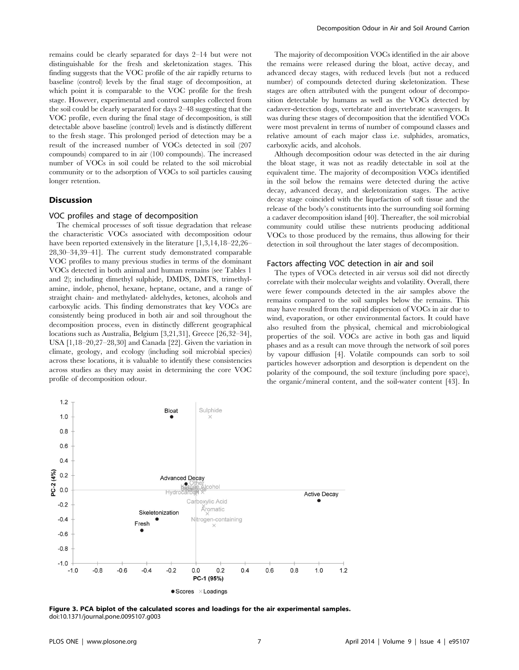remains could be clearly separated for days 2–14 but were not distinguishable for the fresh and skeletonization stages. This finding suggests that the VOC profile of the air rapidly returns to baseline (control) levels by the final stage of decomposition, at which point it is comparable to the VOC profile for the fresh stage. However, experimental and control samples collected from the soil could be clearly separated for days 2–48 suggesting that the VOC profile, even during the final stage of decomposition, is still detectable above baseline (control) levels and is distinctly different to the fresh stage. This prolonged period of detection may be a result of the increased number of VOCs detected in soil (207 compounds) compared to in air (100 compounds). The increased number of VOCs in soil could be related to the soil microbial community or to the adsorption of VOCs to soil particles causing longer retention.

#### **Discussion**

## VOC profiles and stage of decomposition

The chemical processes of soft tissue degradation that release the characteristic VOCs associated with decomposition odour have been reported extensively in the literature  $[1,3,14,18-22,26-$ 28,30–34,39–41]. The current study demonstrated comparable VOC profiles to many previous studies in terms of the dominant VOCs detected in both animal and human remains (see Tables 1 and 2); including dimethyl sulphide, DMDS, DMTS, trimethylamine, indole, phenol, hexane, heptane, octane, and a range of straight chain- and methylated- aldehydes, ketones, alcohols and carboxylic acids. This finding demonstrates that key VOCs are consistently being produced in both air and soil throughout the decomposition process, even in distinctly different geographical locations such as Australia, Belgium [3,21,31], Greece [26,32–34], USA [1,18–20,27–28,30] and Canada [22]. Given the variation in climate, geology, and ecology (including soil microbial species) across these locations, it is valuable to identify these consistencies across studies as they may assist in determining the core VOC profile of decomposition odour.

The majority of decomposition VOCs identified in the air above the remains were released during the bloat, active decay, and advanced decay stages, with reduced levels (but not a reduced number) of compounds detected during skeletonization. These stages are often attributed with the pungent odour of decomposition detectable by humans as well as the VOCs detected by cadaver-detection dogs, vertebrate and invertebrate scavengers. It was during these stages of decomposition that the identified VOCs were most prevalent in terms of number of compound classes and relative amount of each major class i.e. sulphides, aromatics, carboxylic acids, and alcohols.

Although decomposition odour was detected in the air during the bloat stage, it was not as readily detectable in soil at the equivalent time. The majority of decomposition VOCs identified in the soil below the remains were detected during the active decay, advanced decay, and skeletonization stages. The active decay stage coincided with the liquefaction of soft tissue and the release of the body's constituents into the surrounding soil forming a cadaver decomposition island [40]. Thereafter, the soil microbial community could utilise these nutrients producing additional VOCs to those produced by the remains, thus allowing for their detection in soil throughout the later stages of decomposition.

#### Factors affecting VOC detection in air and soil

The types of VOCs detected in air versus soil did not directly correlate with their molecular weights and volatility. Overall, there were fewer compounds detected in the air samples above the remains compared to the soil samples below the remains. This may have resulted from the rapid dispersion of VOCs in air due to wind, evaporation, or other environmental factors. It could have also resulted from the physical, chemical and microbiological properties of the soil. VOCs are active in both gas and liquid phases and as a result can move through the network of soil pores by vapour diffusion [4]. Volatile compounds can sorb to soil particles however adsorption and desorption is dependent on the polarity of the compound, the soil texture (including pore space), the organic/mineral content, and the soil-water content [43]. In



Figure 3. PCA biplot of the calculated scores and loadings for the air experimental samples. doi:10.1371/journal.pone.0095107.g003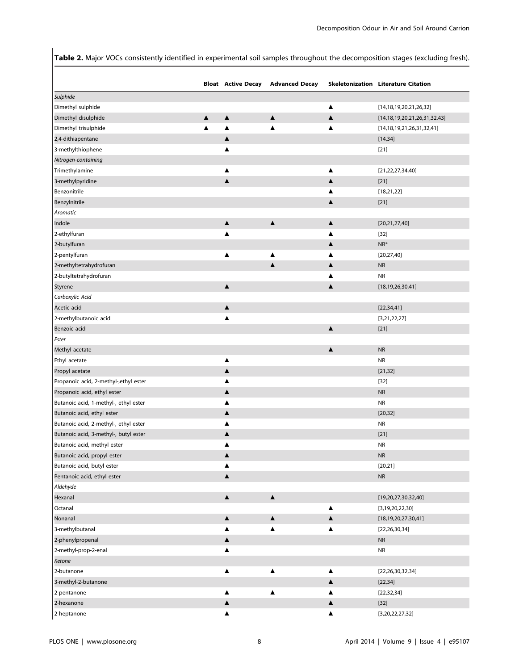Table 2. Major VOCs consistently identified in experimental soil samples throughout the decomposition stages (excluding fresh).

|                                             |                  |                       | <b>Bloat Active Decay Advanced Decay</b> |                  | <b>Skeletonization Literature Citation</b> |
|---------------------------------------------|------------------|-----------------------|------------------------------------------|------------------|--------------------------------------------|
|                                             |                  |                       |                                          |                  |                                            |
| Sulphide                                    |                  |                       |                                          |                  |                                            |
| Dimethyl sulphide                           | $\blacktriangle$ | $\blacktriangle$      | $\blacktriangle$                         | ▲<br>▲           | [14, 18, 19, 20, 21, 26, 32]               |
| Dimethyl disulphide<br>Dimethyl trisulphide | ▲                | ▲                     | ▲                                        |                  | [14, 18, 19, 20, 21, 26, 31, 32, 43]       |
|                                             |                  | $\blacktriangle$      |                                          |                  | [14, 18, 19, 21, 26, 31, 32, 41]           |
| 2,4-dithiapentane                           |                  | ▲                     |                                          |                  | [14, 34]                                   |
| 3-methylthiophene                           |                  |                       |                                          |                  | $[21]$                                     |
| Nitrogen-containing                         |                  |                       |                                          | ▲                |                                            |
| Trimethylamine                              |                  | ▲<br>$\blacktriangle$ |                                          |                  | [21, 22, 27, 34, 40]                       |
| 3-methylpyridine                            |                  |                       |                                          | ▲                | $[21]$                                     |
| Benzonitrile                                |                  |                       |                                          |                  | [18, 21, 22]                               |
| Benzylnitrile                               |                  |                       |                                          | ▲                | $[21]$                                     |
| Aromatic                                    |                  |                       |                                          |                  |                                            |
| Indole                                      |                  | ▲                     | $\blacktriangle$                         | ▲                | [20, 21, 27, 40]                           |
| 2-ethylfuran                                |                  | ▲                     |                                          |                  | $[32]$                                     |
| 2-butylfuran                                |                  |                       |                                          | ▲                | $NR^*$                                     |
| 2-pentylfuran                               |                  | ▲                     | ▲                                        |                  | [20, 27, 40]                               |
| 2-methyltetrahydrofuran                     |                  |                       | $\blacktriangle$                         | ▲                | <b>NR</b>                                  |
| 2-butyltetrahydrofuran                      |                  |                       |                                          |                  | <b>NR</b>                                  |
| Styrene                                     |                  | $\blacktriangle$      |                                          | $\blacktriangle$ | [18, 19, 26, 30, 41]                       |
| Carboxylic Acid                             |                  |                       |                                          |                  |                                            |
| Acetic acid                                 |                  | $\blacktriangle$      |                                          |                  | [22, 34, 41]                               |
| 2-methylbutanoic acid                       |                  | ▲                     |                                          |                  | [3,21,22,27]                               |
| Benzoic acid                                |                  |                       |                                          | $\blacktriangle$ | $[21]$                                     |
| Ester                                       |                  |                       |                                          |                  |                                            |
| Methyl acetate                              |                  |                       |                                          | $\blacktriangle$ | <b>NR</b>                                  |
| Ethyl acetate                               |                  | ▲                     |                                          |                  | <b>NR</b>                                  |
| Propyl acetate                              |                  | $\blacktriangle$      |                                          |                  | [21, 32]                                   |
| Propanoic acid, 2-methyl-,ethyl ester       |                  | ▲                     |                                          |                  | $[32]$                                     |
| Propanoic acid, ethyl ester                 |                  | $\blacktriangle$      |                                          |                  | <b>NR</b>                                  |
| Butanoic acid, 1-methyl-, ethyl ester       |                  | ▲                     |                                          |                  | <b>NR</b>                                  |
| Butanoic acid, ethyl ester                  |                  | ▲                     |                                          |                  | [20, 32]                                   |
| Butanoic acid, 2-methyl-, ethyl ester       |                  | ▲                     |                                          |                  | <b>NR</b>                                  |
| Butanoic acid, 3-methyl-, butyl ester       |                  | ▲                     |                                          |                  | $[21]$                                     |
| Butanoic acid, methyl ester                 |                  | ▲                     |                                          |                  | <b>NR</b>                                  |
| Butanoic acid, propyl ester                 |                  | ▲                     |                                          |                  | <b>NR</b>                                  |
| Butanoic acid, butyl ester                  |                  | ▲                     |                                          |                  | [20,21]                                    |
| Pentanoic acid, ethyl ester                 |                  | $\blacktriangle$      |                                          |                  | <b>NR</b>                                  |
| Aldehyde                                    |                  |                       |                                          |                  |                                            |
| Hexanal                                     |                  | $\blacktriangle$      | $\blacktriangle$                         |                  | [19,20,27,30,32,40]                        |
| Octanal                                     |                  |                       |                                          | ▲                | [3, 19, 20, 22, 30]                        |
| Nonanal                                     |                  | $\blacktriangle$      | $\blacktriangle$                         | $\blacktriangle$ | [18, 19, 20, 27, 30, 41]                   |
| 3-methylbutanal                             |                  | ▲                     | ▲                                        | ▲                | [22, 26, 30, 34]                           |
| 2-phenylpropenal                            |                  | ▲                     |                                          |                  | <b>NR</b>                                  |
| 2-methyl-prop-2-enal                        |                  | ▲                     |                                          |                  | <b>NR</b>                                  |
| Ketone                                      |                  |                       |                                          |                  |                                            |
| 2-butanone                                  |                  | ▲                     | $\blacktriangle$                         | ▲                | [22, 26, 30, 32, 34]                       |
| 3-methyl-2-butanone                         |                  |                       |                                          | $\blacktriangle$ | [22, 34]                                   |
| 2-pentanone                                 |                  | ▲                     | ▲                                        | ▲                | [22, 32, 34]                               |
| 2-hexanone                                  |                  | ▲                     |                                          | ▲                | $[32]$                                     |
| 2-heptanone                                 |                  | ▲                     |                                          | ▲                | [3,20,22,27,32]                            |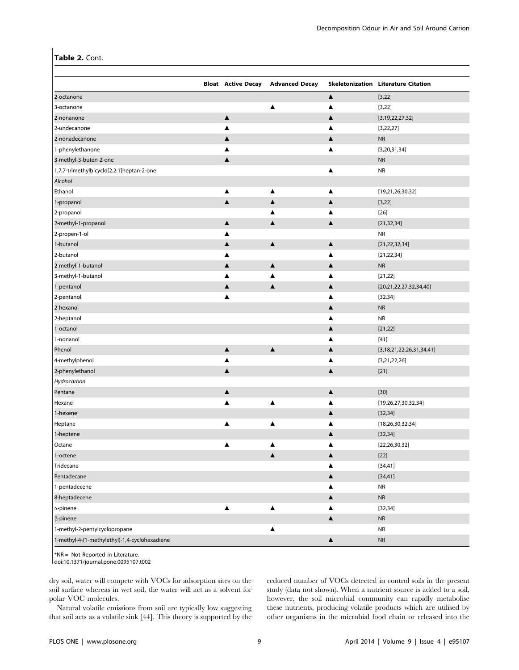### Table 2. Cont.

|                                               | <b>Bloat</b> Active Decay | <b>Advanced Decay</b> |                  | Skeletonization Literature Citation |
|-----------------------------------------------|---------------------------|-----------------------|------------------|-------------------------------------|
| 2-octanone                                    |                           |                       | $\blacktriangle$ | [3, 22]                             |
| 3-octanone                                    |                           | ▲                     | ▲                | [3, 22]                             |
| 2-nonanone                                    | $\blacktriangle$          |                       | ▲                | [3, 19, 22, 27, 32]                 |
| 2-undecanone                                  | ▲                         |                       |                  | [3, 22, 27]                         |
| 2-nonadecanone                                | ▲                         |                       | ▲                | <b>NR</b>                           |
| 1-phenylethanone                              | ▲                         |                       |                  | [3, 20, 31, 34]                     |
| 3-methyl-3-buten-2-one                        | ▲                         |                       |                  | <b>NR</b>                           |
| 1,7,7-trimethylbicyclo[2.2.1]heptan-2-one     |                           |                       | ▲                | <b>NR</b>                           |
| Alcohol                                       |                           |                       |                  |                                     |
| Ethanol                                       | ▲                         | ▲                     |                  | [19,21,26,30,32]                    |
| 1-propanol                                    | $\blacktriangle$          | $\blacktriangle$      | ▲                | [3, 22]                             |
| 2-propanol                                    |                           | ▲                     |                  | $[26]$                              |
| 2-methyl-1-propanol                           | ▲                         | $\blacktriangle$      | ▲                | [21, 32, 34]                        |
| 2-propen-1-ol                                 | ▲                         |                       |                  | <b>NR</b>                           |
| 1-butanol                                     | ▲                         | ▲                     | ▲                | [21, 22, 32, 34]                    |
| 2-butanol                                     | ▲                         |                       |                  | [21, 22, 34]                        |
| 2-methyl-1-butanol                            | ▲                         | ▲                     | ▲                | <b>NR</b>                           |
| 3-methyl-1-butanol                            | ▲                         | Δ                     |                  | [21, 22]                            |
| 1-pentanol                                    | ▲                         | $\blacktriangle$      | ▲                | [20,21,22,27,32,34,40]              |
| 2-pentanol                                    | ▲                         |                       | ▲                | [32, 34]                            |
| 2-hexanol                                     |                           |                       | ▲                | <b>NR</b>                           |
| 2-heptanol                                    |                           |                       | ▲                | <b>NR</b>                           |
| 1-octanol                                     |                           |                       | ▲                | [21, 22]                            |
| 1-nonanol                                     |                           |                       | ▲                | $[41]$                              |
| Phenol                                        | $\blacktriangle$          | $\blacktriangle$      | ▲                | [3, 18, 21, 22, 26, 31, 34, 41]     |
| 4-methylphenol                                | ▲                         |                       | ▲                | [3,21,22,26]                        |
| 2-phenylethanol                               | ▲                         |                       | ▲                | $[21]$                              |
| Hydrocarbon                                   |                           |                       |                  |                                     |
| Pentane                                       | ▲                         |                       | ▲                | $[30]$                              |
| Hexane                                        | ▲                         | ▲                     |                  | [19, 26, 27, 30, 32, 34]            |
| 1-hexene                                      |                           |                       | ▲                | [32, 34]                            |
| Heptane                                       | ▲                         | ▲                     |                  | [18, 26, 30, 32, 34]                |
| 1-heptene                                     |                           |                       |                  | [32, 34]                            |
| Octane                                        | ▲                         | ▲                     | ▲                | [22, 26, 30, 32]                    |
| 1-octene                                      |                           | ▲                     | ▲                | $[22]$                              |
| Tridecane                                     |                           |                       | ▲                | [34, 41]                            |
| Pentadecane                                   |                           |                       | $\blacktriangle$ | [34, 41]                            |
| 1-pentadecene                                 |                           |                       | ▲                | ${\sf NR}$                          |
| 8-heptadecene                                 |                           |                       | $\blacktriangle$ | $\sf NR$                            |
| $\alpha$ -pinene                              | $\blacktriangle$          | ▲                     | ▲                | [32, 34]                            |
| $\beta$ -pinene                               |                           |                       | $\blacktriangle$ | ${\sf NR}$                          |
| 1-methyl-2-pentylcyclopropane                 |                           | ▲                     |                  | ${\sf NR}$                          |
| 1-methyl-4-(1-methylethyl)-1,4-cyclohexadiene |                           |                       | $\blacktriangle$ | ${\sf NR}$                          |

\*NR = Not Reported in Literature.

doi:10.1371/journal.pone.0095107.t002

dry soil, water will compete with VOCs for adsorption sites on the soil surface whereas in wet soil, the water will act as a solvent for polar VOC molecules.

Natural volatile emissions from soil are typically low suggesting that soil acts as a volatile sink [44]. This theory is supported by the reduced number of VOCs detected in control soils in the present study (data not shown). When a nutrient source is added to a soil, however, the soil microbial community can rapidly metabolise these nutrients, producing volatile products which are utilised by other organisms in the microbial food chain or released into the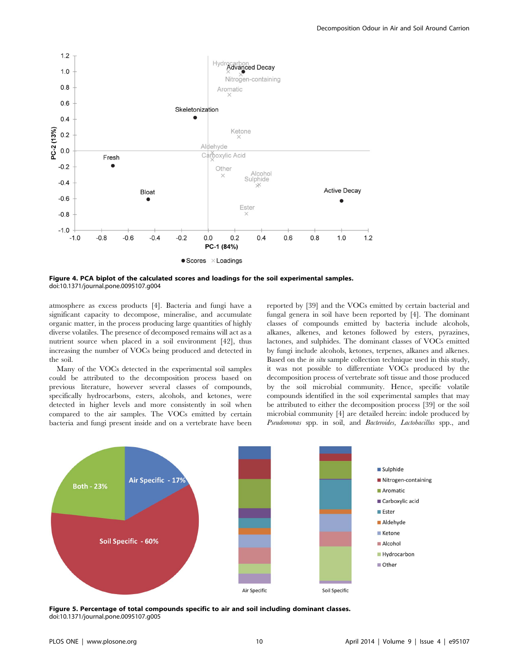

Figure 4. PCA biplot of the calculated scores and loadings for the soil experimental samples. doi:10.1371/journal.pone.0095107.g004

atmosphere as excess products [4]. Bacteria and fungi have a significant capacity to decompose, mineralise, and accumulate organic matter, in the process producing large quantities of highly diverse volatiles. The presence of decomposed remains will act as a nutrient source when placed in a soil environment [42], thus increasing the number of VOCs being produced and detected in the soil.

Many of the VOCs detected in the experimental soil samples could be attributed to the decomposition process based on previous literature, however several classes of compounds, specifically hydrocarbons, esters, alcohols, and ketones, were detected in higher levels and more consistently in soil when compared to the air samples. The VOCs emitted by certain bacteria and fungi present inside and on a vertebrate have been reported by [39] and the VOCs emitted by certain bacterial and fungal genera in soil have been reported by [4]. The dominant classes of compounds emitted by bacteria include alcohols, alkanes, alkenes, and ketones followed by esters, pyrazines, lactones, and sulphides. The dominant classes of VOCs emitted by fungi include alcohols, ketones, terpenes, alkanes and alkenes. Based on the in situ sample collection technique used in this study, it was not possible to differentiate VOCs produced by the decomposition process of vertebrate soft tissue and those produced by the soil microbial community. Hence, specific volatile compounds identified in the soil experimental samples that may be attributed to either the decomposition process [39] or the soil microbial community [4] are detailed herein: indole produced by Pseudomonas spp. in soil, and Bacteroides, Lactobacillus spp., and



Figure 5. Percentage of total compounds specific to air and soil including dominant classes. doi:10.1371/journal.pone.0095107.g005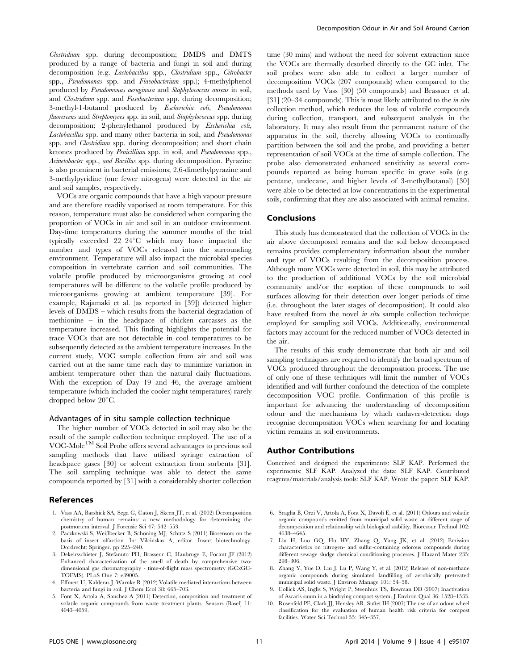Clostridium spp. during decomposition; DMDS and DMTS produced by a range of bacteria and fungi in soil and during decomposition (e.g. Lactobacillus spp., Clostridium spp., Citrobacter spp., Pseudomonas spp. and Flavobacterium spp.); 4-methylphenol produced by Pseudomonas aeruginosa and Staphylococcus aureus in soil, and Clostridium spp. and Fusobacterium spp. during decomposition; 3-methyl-1-butanol produced by Escherichia coli, Pseudomonas fluorescens and Streptomyces spp. in soil, and Staphylococcus spp. during decomposition; 2-phenylethanol produced by Escherichia coli, Lactobacillus spp. and many other bacteria in soil, and Pseudomonas spp. and *Clostridium* spp. during decomposition; and short chain ketones produced by Penicillium spp. in soil, and Pseudomonas spp., Acinetobacter spp., and Bacillus spp. during decomposition. Pyrazine is also prominent in bacterial emissions; 2,6-dimethylpyrazine and 3-methylpyridine (one fewer nitrogens) were detected in the air and soil samples, respectively.

VOCs are organic compounds that have a high vapour pressure and are therefore readily vaporised at room temperature. For this reason, temperature must also be considered when comparing the proportion of VOCs in air and soil in an outdoor environment. Day-time temperatures during the summer months of the trial typically exceeded  $22-24$ °C which may have impacted the number and types of VOCs released into the surrounding environment. Temperature will also impact the microbial species composition in vertebrate carrion and soil communities. The volatile profile produced by microorganisms growing at cool temperatures will be different to the volatile profile produced by microorganisms growing at ambient temperature [39]. For example, Rajamaki et al. (as reported in [39]) detected higher levels of DMDS – which results from the bacterial degradation of methionine – in the headspace of chicken carcasses as the temperature increased. This finding highlights the potential for trace VOCs that are not detectable in cool temperatures to be subsequently detected as the ambient temperature increases. In the current study, VOC sample collection from air and soil was carried out at the same time each day to minimize variation in ambient temperature other than the natural daily fluctuations. With the exception of Day 19 and 46, the average ambient temperature (which included the cooler night temperatures) rarely dropped below  $20^{\circ}$ C.

#### Advantages of in situ sample collection technique

The higher number of VOCs detected in soil may also be the result of the sample collection technique employed. The use of a VOC-MoleTM Soil Probe offers several advantages to previous soil sampling methods that have utilised syringe extraction of headspace gases [30] or solvent extraction from sorbents [31]. The soil sampling technique was able to detect the same compounds reported by [31] with a considerably shorter collection

#### References

- 1. Vass AA, Barshick SA, Sega G, Caton J, Skeen JT, et al. (2002) Decomposition chemistry of human remains: a new methodology for determining the postmortem interval. J Forensic Sci 47: 542–553.
- 2. Paczkowski S, Weißbecker B, Schöning MJ, Schütz S (2011) Biosensors on the basis of insect olfaction. In: Vilcinskas A, editor. Insect biotechnology. Dordrecht: Springer. pp 225–240.
- 3. Dekeirsschieter J, Stefanuto PH, Brasseur C, Haubruge E, Focant JF (2012) Enhanced characterization of the smell of death by comprehensive twodimensional gas chromatography - time-of-flight mass spectrometry (GCxGC-TOFMS). PLoS One 7: e39005.
- 4. Effmert U, Kalderas J, Warnke R (2012) Volatile mediated interactions between bacteria and fungi in soil. J Chem Ecol 38: 665–703.
- 5. Font X, Artola A, Sanchez A (2011) Detection, composition and treatment of volatile organic compounds from waste treatment plants. Sensors (Basel) 11: 4043–4059.

time (30 mins) and without the need for solvent extraction since the VOCs are thermally desorbed directly to the GC inlet. The soil probes were also able to collect a larger number of decomposition VOCs (207 compounds) when compared to the methods used by Vass [30] (50 compounds) and Brassuer et al. [31] (20–34 compounds). This is most likely attributed to the *in situ* collection method, which reduces the loss of volatile compounds during collection, transport, and subsequent analysis in the laboratory. It may also result from the permanent nature of the apparatus in the soil, thereby allowing VOCs to continually partition between the soil and the probe, and providing a better representation of soil VOCs at the time of sample collection. The probe also demonstrated enhanced sensitivity as several compounds reported as being human specific in grave soils (e.g. pentane, undecane, and higher levels of 3-methylbutanal) [30] were able to be detected at low concentrations in the experimental soils, confirming that they are also associated with animal remains.

#### Conclusions

This study has demonstrated that the collection of VOCs in the air above decomposed remains and the soil below decomposed remains provides complementary information about the number and type of VOCs resulting from the decomposition process. Although more VOCs were detected in soil, this may be attributed to the production of additional VOCs by the soil microbial community and/or the sorption of these compounds to soil surfaces allowing for their detection over longer periods of time (i.e. throughout the later stages of decomposition). It could also have resulted from the novel *in situ* sample collection technique employed for sampling soil VOCs. Additionally, environmental factors may account for the reduced number of VOCs detected in the air.

The results of this study demonstrate that both air and soil sampling techniques are required to identify the broad spectrum of VOCs produced throughout the decomposition process. The use of only one of these techniques will limit the number of VOCs identified and will further confound the detection of the complete decomposition VOC profile. Confirmation of this profile is important for advancing the understanding of decomposition odour and the mechanisms by which cadaver-detection dogs recognise decomposition VOCs when searching for and locating victim remains in soil environments.

#### Author Contributions

Conceived and designed the experiments: SLF KAP. Performed the experiments: SLF KAP. Analyzed the data: SLF KAP. Contributed reagents/materials/analysis tools: SLF KAP. Wrote the paper: SLF KAP.

- 6. Scaglia B, Orzi V, Artola A, Font X, Davoli E, et al. (2011) Odours and volatile organic compounds emitted from municipal solid waste at different stage of decomposition and relationship with biological stability. Bioresour Technol 102: 4638–4645.
- 7. Liu H, Luo GQ, Hu HY, Zhang Q, Yang JK, et al. (2012) Emission characteristics on nitrogen- and sulfur-containing odorous compounds during different sewage sludge chemical conditioning processes. J Hazard Mater 235: 298–306.
- 8. Zhang Y, Yue D, Liu J, Lu P, Wang Y, et al. (2012) Release of non-methane organic compounds during simulated landfilling of aerobically pretreated municipal solid waste. J Environ Manage 101: 54–58.
- 9. Collick AS, Inglis S, Wright P, Steenhuis TS, Bowman DD (2007) Inactivation of Ascaris suum in a biodrying compost system. J Environ Qual 36: 1528–1533.
- 10. Rosenfeld PE, Clark JJ, Hensley AR, Suftet IH (2007) The use of an odour wheel classification for the evaluation of human health risk criteria for compost facilities. Water Sci Technol 55: 345–357.